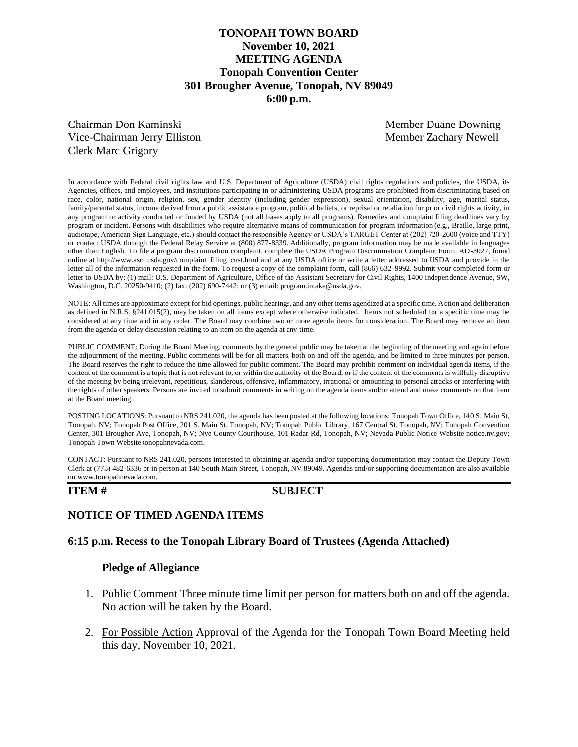## **TONOPAH TOWN BOARD November 10, 2021 MEETING AGENDA Tonopah Convention Center 301 Brougher Avenue, Tonopah, NV 89049 6:00 p.m.**

Chairman Don Kaminski Member Duane Downing Vice-Chairman Jerry Elliston Member Zachary Newell Clerk Marc Grigory

In accordance with Federal civil rights law and U.S. Department of Agriculture (USDA) civil rights regulations and policies, the USDA, its Agencies, offices, and employees, and institutions participating in or administering USDA programs are prohibited from discriminating based on race, color, national origin, religion, sex, gender identity (including gender expression), sexual orientation, disability, age, marital status, family/parental status, income derived from a public assistance program, political beliefs, or reprisal or retaliation for prior civil rights activity, in any program or activity conducted or funded by USDA (not all bases apply to all programs). Remedies and complaint filing deadlines vary by program or incident. Persons with disabilities who require alternative means of communication for program information (e.g., Braille, large print, audiotape, American Sign Language, etc.) should contact the responsible Agency or USDA's TARGET Center at (202) 720-2600 (voice and TTY) or contact USDA through the Federal Relay Service at (800) 877-8339. Additionally, program information may be made available in languages other than English. To file a program discrimination complaint, complete the USDA Program Discrimination Complaint Form, AD-3027, found online at http://www.ascr.usda.gov/complaint\_filing\_cust.html and at any USDA office or write a letter addressed to USDA and provide in the letter all of the information requested in the form. To request a copy of the complaint form, call (866) 632-9992. Submit your completed form or letter to USDA by: (1) mail: U.S. Department of Agriculture, Office of the Assistant Secretary for Civil Rights, 1400 Independence Avenue, SW, Washington, D.C. 20250-9410; (2) fax: (202) 690-7442; or (3) email: program.intake@usda.gov.

NOTE: All times are approximate except for bid openings, public hearings, and any other items agendized at a specific time. Action and deliberation as defined in N.R.S. §241.015(2), may be taken on all items except where otherwise indicated. Items not scheduled for a specific time may be considered at any time and in any order. The Board may combine two or more agenda items for consideration. The Board may remove an item from the agenda or delay discussion relating to an item on the agenda at any time.

PUBLIC COMMENT: During the Board Meeting, comments by the general public may be taken at the beginning of the meeting and again before the adjournment of the meeting. Public comments will be for all matters, both on and off the agenda, and be limited to three minutes per person. The Board reserves the right to reduce the time allowed for public comment. The Board may prohibit comment on individual agenda items, if the content of the comment is a topic that is not relevant to, or within the authority of the Board, or if the content of the comments is willfully disruptive of the meeting by being irrelevant, repetitious, slanderous, offensive, inflammatory, irrational or amounting to personal attacks or interfering with the rights of other speakers. Persons are invited to submit comments in writing on the agenda items and/or attend and make comments on that item at the Board meeting.

POSTING LOCATIONS: Pursuant to NRS 241.020, the agenda has been posted at the following locations: Tonopah Town Office, 140 S. Main St, Tonopah, NV; Tonopah Post Office, 201 S. Main St, Tonopah, NV; Tonopah Public Library, 167 Central St, Tonopah, NV; Tonopah Convention Center, 301 Brougher Ave, Tonopah, NV; Nye County Courthouse, 101 Radar Rd, Tonopah, NV; Nevada Public Notice Website notice.nv.gov; Tonopah Town Website tonopahnevada.com.

CONTACT: Pursuant to NRS 241.020, persons interested in obtaining an agenda and/or supporting documentation may contact the Deputy Town Clerk at (775) 482-6336 or in person at 140 South Main Street, Tonopah, NV 89049. Agendas and/or supporting documentation are also available on www.tonopahnevada.com.

### **ITEM # SUBJECT**

## **NOTICE OF TIMED AGENDA ITEMS**

### **6:15 p.m. Recess to the Tonopah Library Board of Trustees (Agenda Attached)**

### **Pledge of Allegiance**

- 1. Public Comment Three minute time limit per person for matters both on and off the agenda. No action will be taken by the Board.
- 2. For Possible Action Approval of the Agenda for the Tonopah Town Board Meeting held this day, November 10, 2021.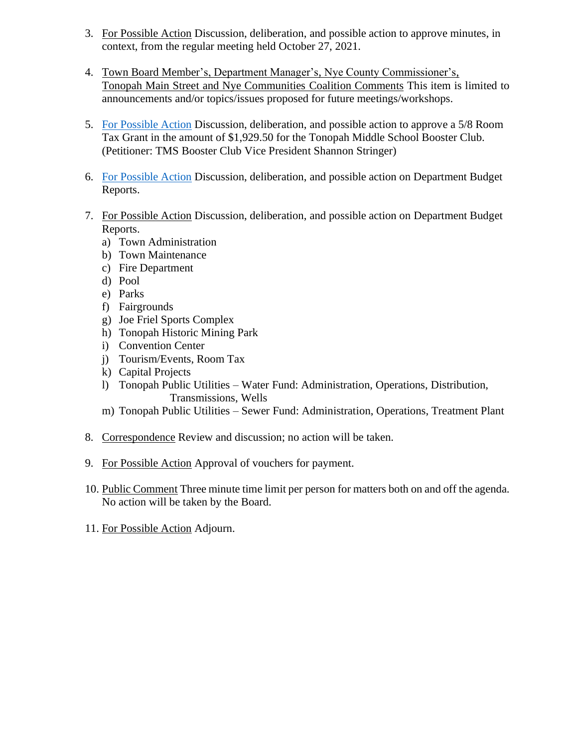- 3. For Possible Action Discussion, deliberation, and possible action to approve minutes, in context, from the regular meeting held October 27, 2021.
- 4. Town Board Member's, Department Manager's, Nye County Commissioner's, Tonopah Main Street and Nye Communities Coalition Comments This item is limited to announcements and/or topics/issues proposed for future meetings/workshops.
- 5. [For Possible Action](https://www.tonopahnevada.com/agendas/backup-2021/11-10-2021-item-5.pdf) Discussion, deliberation, and possible action to approve a 5/8 Room Tax Grant in the amount of \$1,929.50 for the Tonopah Middle School Booster Club. (Petitioner: TMS Booster Club Vice President Shannon Stringer)
- 6. [For Possible Action](https://www.tonopahnevada.com/agendas/backup-2021/StaffReports-11-10-21.pdf) Discussion, deliberation, and possible action on Department Budget Reports.
- 7. For Possible Action Discussion, deliberation, and possible action on Department Budget Reports.
	- a) Town Administration
	- b) Town Maintenance
	- c) Fire Department
	- d) Pool
	- e) Parks
	- f) Fairgrounds
	- g) Joe Friel Sports Complex
	- h) Tonopah Historic Mining Park
	- i) Convention Center
	- j) Tourism/Events, Room Tax
	- k) Capital Projects
	- l) Tonopah Public Utilities Water Fund: Administration, Operations, Distribution, Transmissions, Wells
	- m) Tonopah Public Utilities Sewer Fund: Administration, Operations, Treatment Plant
- 8. Correspondence Review and discussion; no action will be taken.
- 9. For Possible Action Approval of vouchers for payment.
- 10. Public Comment Three minute time limit per person for matters both on and off the agenda. No action will be taken by the Board.
- 11. For Possible Action Adjourn.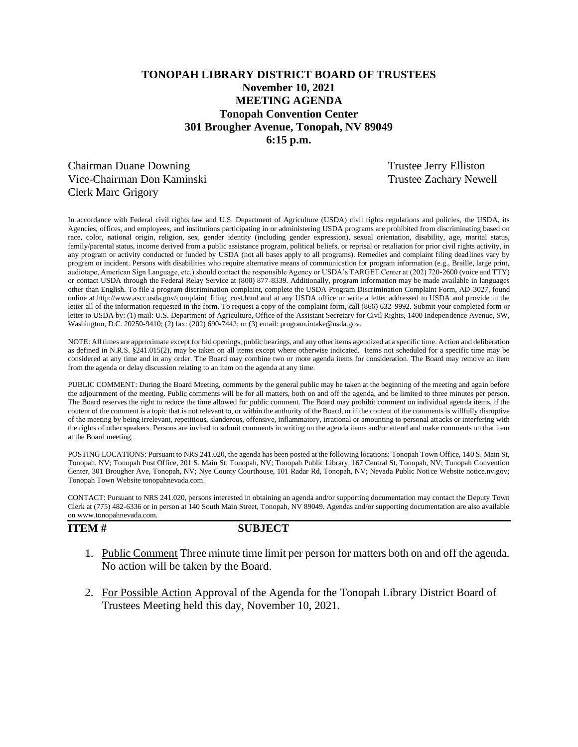# **TONOPAH LIBRARY DISTRICT BOARD OF TRUSTEES November 10, 2021 MEETING AGENDA Tonopah Convention Center 301 Brougher Avenue, Tonopah, NV 89049 6:15 p.m.**

Chairman Duane Downing Trustee Jerry Elliston Vice-Chairman Don Kaminski Trustee Zachary Newell Clerk Marc Grigory

In accordance with Federal civil rights law and U.S. Department of Agriculture (USDA) civil rights regulations and policies, the USDA, its Agencies, offices, and employees, and institutions participating in or administering USDA programs are prohibited from discriminating based on race, color, national origin, religion, sex, gender identity (including gender expression), sexual orientation, disability, age, marital status, family/parental status, income derived from a public assistance program, political beliefs, or reprisal or retaliation for prior civil rights activity, in any program or activity conducted or funded by USDA (not all bases apply to all programs). Remedies and complaint filing deadlines vary by program or incident. Persons with disabilities who require alternative means of communication for program information (e.g., Braille, large print, audiotape, American Sign Language, etc.) should contact the responsible Agency or USDA's TARGET Center at (202) 720-2600 (voice and TTY) or contact USDA through the Federal Relay Service at (800) 877-8339. Additionally, program information may be made available in languages other than English. To file a program discrimination complaint, complete the USDA Program Discrimination Complaint Form, AD-3027, found online at http://www.ascr.usda.gov/complaint\_filing\_cust.html and at any USDA office or write a letter addressed to USDA and provide in the letter all of the information requested in the form. To request a copy of the complaint form, call (866) 632-9992. Submit your completed form or letter to USDA by: (1) mail: U.S. Department of Agriculture, Office of the Assistant Secretary for Civil Rights, 1400 Independence Avenue, SW, Washington, D.C. 20250-9410; (2) fax: (202) 690-7442; or (3) email: program.intake@usda.gov.

NOTE: All times are approximate except for bid openings, public hearings, and any other items agendized at a specific time. Action and deliberation as defined in N.R.S. §241.015(2), may be taken on all items except where otherwise indicated. Items not scheduled for a specific time may be considered at any time and in any order. The Board may combine two or more agenda items for consideration. The Board may remove an item from the agenda or delay discussion relating to an item on the agenda at any time.

PUBLIC COMMENT: During the Board Meeting, comments by the general public may be taken at the beginning of the meeting and again before the adjournment of the meeting. Public comments will be for all matters, both on and off the agenda, and be limited to three minutes per person. The Board reserves the right to reduce the time allowed for public comment. The Board may prohibit comment on individual agenda items, if the content of the comment is a topic that is not relevant to, or within the authority of the Board, or if the content of the comments is willfully disruptive of the meeting by being irrelevant, repetitious, slanderous, offensive, inflammatory, irrational or amounting to personal attacks or interfering with the rights of other speakers. Persons are invited to submit comments in writing on the agenda items and/or attend and make comments on that item at the Board meeting.

POSTING LOCATIONS: Pursuant to NRS 241.020, the agenda has been posted at the following locations: Tonopah Town Office, 140 S. Main St, Tonopah, NV; Tonopah Post Office, 201 S. Main St, Tonopah, NV; Tonopah Public Library, 167 Central St, Tonopah, NV; Tonopah Convention Center, 301 Brougher Ave, Tonopah, NV; Nye County Courthouse, 101 Radar Rd, Tonopah, NV; Nevada Public Notice Website notice.nv.gov; Tonopah Town Website tonopahnevada.com.

CONTACT: Pursuant to NRS 241.020, persons interested in obtaining an agenda and/or supporting documentation may contact the Deputy Town Clerk at (775) 482-6336 or in person at 140 South Main Street, Tonopah, NV 89049. Agendas and/or supporting documentation are also available on www.tonopahnevada.com.

**ITEM # SUBJECT**

- 1. Public Comment Three minute time limit per person for matters both on and off the agenda. No action will be taken by the Board.
- 2. For Possible Action Approval of the Agenda for the Tonopah Library District Board of Trustees Meeting held this day, November 10, 2021.